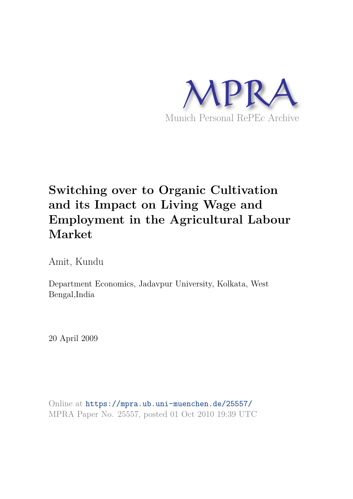

# **Switching over to Organic Cultivation and its Impact on Living Wage and Employment in the Agricultural Labour Market**

Amit, Kundu

Department Economics, Jadavpur University, Kolkata, West Bengal,India

20 April 2009

Online at https://mpra.ub.uni-muenchen.de/25557/ MPRA Paper No. 25557, posted 01 Oct 2010 19:39 UTC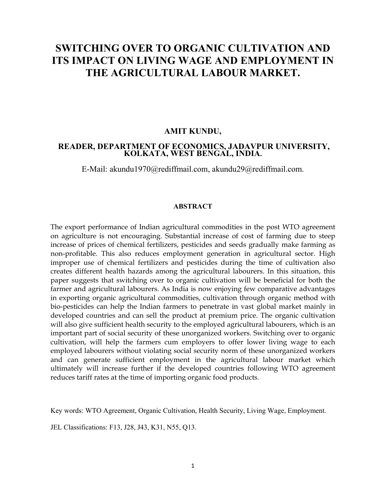# **SWITCHING OVER TO ORGANIC CULTIVATION AND ITS IMPACT ON LIVING WAGE AND EMPLOYMENT IN THE AGRICULTURAL LABOUR MARKET.**

#### **AMIT KUNDU,**

#### **READER, DEPARTMENT OF ECONOMICS, JADAVPUR UNIVERSITY, KOLKATA, WEST BENGAL, INDIA.**

E-Mail: akundu1970@rediffmail.com, akundu29@rediffmail.com.

#### **ABSTRACT**

The export performance of Indian agricultural commodities in the post WTO agreement on agriculture is not encouraging. Substantial increase of cost of farming due to steep increase of prices of chemical fertilizers, pesticides and seeds gradually make farming as non-profitable. This also reduces employment generation in agricultural sector. High improper use of chemical fertilizers and pesticides during the time of cultivation also creates different health hazards among the agricultural labourers. In this situation, this paper suggests that switching over to organic cultivation will be beneficial for both the farmer and agricultural labourers. As India is now enjoying few comparative advantages in exporting organic agricultural commodities, cultivation through organic method with bio-pesticides can help the Indian farmers to penetrate in vast global market mainly in developed countries and can sell the product at premium price. The organic cultivation will also give sufficient health security to the employed agricultural labourers, which is an important part of social security of these unorganized workers. Switching over to organic cultivation, will help the farmers cum employers to offer lower living wage to each employed labourers without violating social security norm of these unorganized workers and can generate sufficient employment in the agricultural labour market which ultimately will increase further if the developed countries following WTO agreement reduces tariff rates at the time of importing organic food products.

Key words: WTO Agreement, Organic Cultivation, Health Security, Living Wage, Employment.

JEL Classifications: F13, J28, J43, K31, N55, Q13.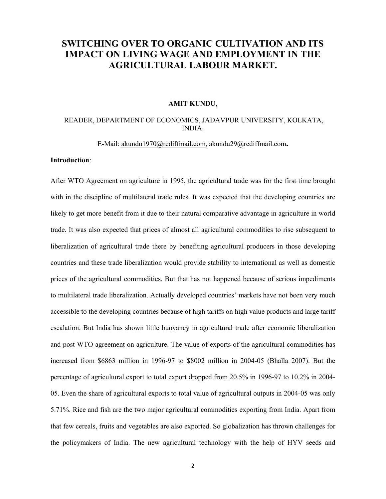## **SWITCHING OVER TO ORGANIC CULTIVATION AND ITS IMPACT ON LIVING WAGE AND EMPLOYMENT IN THE AGRICULTURAL LABOUR MARKET.**

#### **AMIT KUNDU**,

#### READER, DEPARTMENT OF ECONOMICS, JADAVPUR UNIVERSITY, KOLKATA, INDIA.

#### E-Mail: akundu1970@rediffmail.com, akundu29@rediffmail.com**.**

#### **Introduction**:

After WTO Agreement on agriculture in 1995, the agricultural trade was for the first time brought with in the discipline of multilateral trade rules. It was expected that the developing countries are likely to get more benefit from it due to their natural comparative advantage in agriculture in world trade. It was also expected that prices of almost all agricultural commodities to rise subsequent to liberalization of agricultural trade there by benefiting agricultural producers in those developing countries and these trade liberalization would provide stability to international as well as domestic prices of the agricultural commodities. But that has not happened because of serious impediments to multilateral trade liberalization. Actually developed countries' markets have not been very much accessible to the developing countries because of high tariffs on high value products and large tariff escalation. But India has shown little buoyancy in agricultural trade after economic liberalization and post WTO agreement on agriculture. The value of exports of the agricultural commodities has increased from \$6863 million in 1996-97 to \$8002 million in 2004-05 (Bhalla 2007). But the percentage of agricultural export to total export dropped from 20.5% in 1996-97 to 10.2% in 2004- 05. Even the share of agricultural exports to total value of agricultural outputs in 2004-05 was only 5.71%. Rice and fish are the two major agricultural commodities exporting from India. Apart from that few cereals, fruits and vegetables are also exported. So globalization has thrown challenges for the policymakers of India. The new agricultural technology with the help of HYV seeds and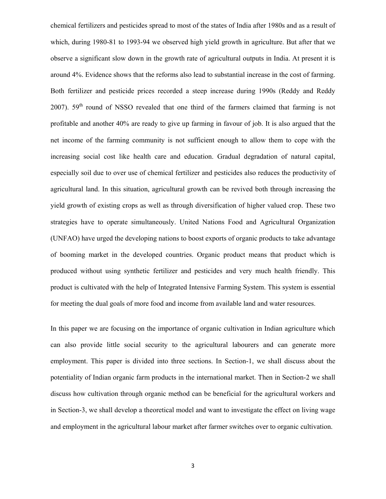chemical fertilizers and pesticides spread to most of the states of India after 1980s and as a result of which, during 1980-81 to 1993-94 we observed high yield growth in agriculture. But after that we observe a significant slow down in the growth rate of agricultural outputs in India. At present it is around 4%. Evidence shows that the reforms also lead to substantial increase in the cost of farming. Both fertilizer and pesticide prices recorded a steep increase during 1990s (Reddy and Reddy 2007).  $59<sup>th</sup>$  round of NSSO revealed that one third of the farmers claimed that farming is not profitable and another 40% are ready to give up farming in favour of job. It is also argued that the net income of the farming community is not sufficient enough to allow them to cope with the increasing social cost like health care and education. Gradual degradation of natural capital, especially soil due to over use of chemical fertilizer and pesticides also reduces the productivity of agricultural land. In this situation, agricultural growth can be revived both through increasing the yield growth of existing crops as well as through diversification of higher valued crop. These two strategies have to operate simultaneously. United Nations Food and Agricultural Organization (UNFAO) have urged the developing nations to boost exports of organic products to take advantage of booming market in the developed countries. Organic product means that product which is produced without using synthetic fertilizer and pesticides and very much health friendly. This product is cultivated with the help of Integrated Intensive Farming System. This system is essential for meeting the dual goals of more food and income from available land and water resources.

In this paper we are focusing on the importance of organic cultivation in Indian agriculture which can also provide little social security to the agricultural labourers and can generate more employment. This paper is divided into three sections. In Section-1, we shall discuss about the potentiality of Indian organic farm products in the international market. Then in Section-2 we shall discuss how cultivation through organic method can be beneficial for the agricultural workers and in Section-3, we shall develop a theoretical model and want to investigate the effect on living wage and employment in the agricultural labour market after farmer switches over to organic cultivation.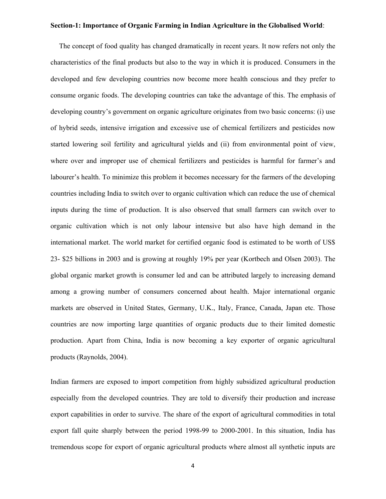#### **Section-1: Importance of Organic Farming in Indian Agriculture in the Globalised World**:

 The concept of food quality has changed dramatically in recent years. It now refers not only the characteristics of the final products but also to the way in which it is produced. Consumers in the developed and few developing countries now become more health conscious and they prefer to consume organic foods. The developing countries can take the advantage of this. The emphasis of developing country's government on organic agriculture originates from two basic concerns: (i) use of hybrid seeds, intensive irrigation and excessive use of chemical fertilizers and pesticides now started lowering soil fertility and agricultural yields and (ii) from environmental point of view, where over and improper use of chemical fertilizers and pesticides is harmful for farmer's and labourer's health. To minimize this problem it becomes necessary for the farmers of the developing countries including India to switch over to organic cultivation which can reduce the use of chemical inputs during the time of production. It is also observed that small farmers can switch over to organic cultivation which is not only labour intensive but also have high demand in the international market. The world market for certified organic food is estimated to be worth of US\$ 23- \$25 billions in 2003 and is growing at roughly 19% per year (Kortbech and Olsen 2003). The global organic market growth is consumer led and can be attributed largely to increasing demand among a growing number of consumers concerned about health. Major international organic markets are observed in United States, Germany, U.K., Italy, France, Canada, Japan etc. Those countries are now importing large quantities of organic products due to their limited domestic production. Apart from China, India is now becoming a key exporter of organic agricultural products (Raynolds, 2004).

Indian farmers are exposed to import competition from highly subsidized agricultural production especially from the developed countries. They are told to diversify their production and increase export capabilities in order to survive. The share of the export of agricultural commodities in total export fall quite sharply between the period 1998-99 to 2000-2001. In this situation, India has tremendous scope for export of organic agricultural products where almost all synthetic inputs are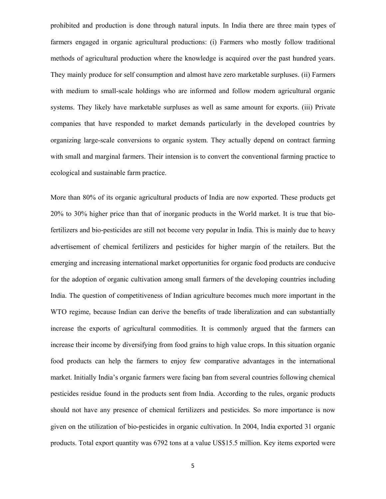prohibited and production is done through natural inputs. In India there are three main types of farmers engaged in organic agricultural productions: (i) Farmers who mostly follow traditional methods of agricultural production where the knowledge is acquired over the past hundred years. They mainly produce for self consumption and almost have zero marketable surpluses. (ii) Farmers with medium to small-scale holdings who are informed and follow modern agricultural organic systems. They likely have marketable surpluses as well as same amount for exports. (iii) Private companies that have responded to market demands particularly in the developed countries by organizing large-scale conversions to organic system. They actually depend on contract farming with small and marginal farmers. Their intension is to convert the conventional farming practice to ecological and sustainable farm practice.

More than 80% of its organic agricultural products of India are now exported. These products get 20% to 30% higher price than that of inorganic products in the World market. It is true that biofertilizers and bio-pesticides are still not become very popular in India. This is mainly due to heavy advertisement of chemical fertilizers and pesticides for higher margin of the retailers. But the emerging and increasing international market opportunities for organic food products are conducive for the adoption of organic cultivation among small farmers of the developing countries including India. The question of competitiveness of Indian agriculture becomes much more important in the WTO regime, because Indian can derive the benefits of trade liberalization and can substantially increase the exports of agricultural commodities. It is commonly argued that the farmers can increase their income by diversifying from food grains to high value crops. In this situation organic food products can help the farmers to enjoy few comparative advantages in the international market. Initially India's organic farmers were facing ban from several countries following chemical pesticides residue found in the products sent from India. According to the rules, organic products should not have any presence of chemical fertilizers and pesticides. So more importance is now given on the utilization of bio-pesticides in organic cultivation. In 2004, India exported 31 organic products. Total export quantity was 6792 tons at a value US\$15.5 million. Key items exported were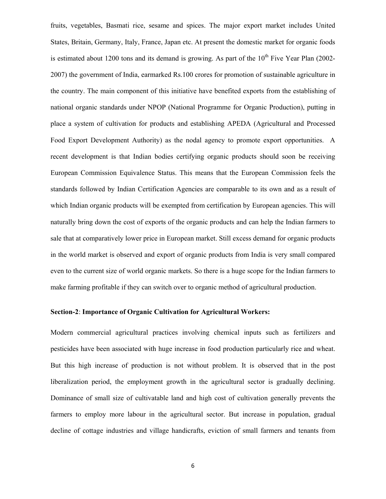fruits, vegetables, Basmati rice, sesame and spices. The major export market includes United States, Britain, Germany, Italy, France, Japan etc. At present the domestic market for organic foods is estimated about 1200 tons and its demand is growing. As part of the  $10<sup>th</sup>$  Five Year Plan (2002-2007) the government of India, earmarked Rs.100 crores for promotion of sustainable agriculture in the country. The main component of this initiative have benefited exports from the establishing of national organic standards under NPOP (National Programme for Organic Production), putting in place a system of cultivation for products and establishing APEDA (Agricultural and Processed Food Export Development Authority) as the nodal agency to promote export opportunities. A recent development is that Indian bodies certifying organic products should soon be receiving European Commission Equivalence Status. This means that the European Commission feels the standards followed by Indian Certification Agencies are comparable to its own and as a result of which Indian organic products will be exempted from certification by European agencies. This will naturally bring down the cost of exports of the organic products and can help the Indian farmers to sale that at comparatively lower price in European market. Still excess demand for organic products in the world market is observed and export of organic products from India is very small compared even to the current size of world organic markets. So there is a huge scope for the Indian farmers to make farming profitable if they can switch over to organic method of agricultural production.

#### **Section-2**: **Importance of Organic Cultivation for Agricultural Workers:**

Modern commercial agricultural practices involving chemical inputs such as fertilizers and pesticides have been associated with huge increase in food production particularly rice and wheat. But this high increase of production is not without problem. It is observed that in the post liberalization period, the employment growth in the agricultural sector is gradually declining. Dominance of small size of cultivatable land and high cost of cultivation generally prevents the farmers to employ more labour in the agricultural sector. But increase in population, gradual decline of cottage industries and village handicrafts, eviction of small farmers and tenants from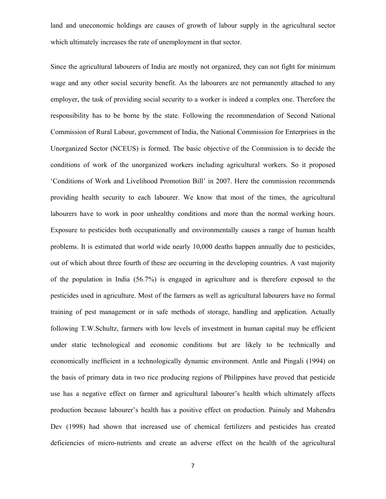land and uneconomic holdings are causes of growth of labour supply in the agricultural sector which ultimately increases the rate of unemployment in that sector.

Since the agricultural labourers of India are mostly not organized, they can not fight for minimum wage and any other social security benefit. As the labourers are not permanently attached to any employer, the task of providing social security to a worker is indeed a complex one. Therefore the responsibility has to be borne by the state. Following the recommendation of Second National Commission of Rural Labour, government of India, the National Commission for Enterprises in the Unorganized Sector (NCEUS) is formed. The basic objective of the Commission is to decide the conditions of work of the unorganized workers including agricultural workers. So it proposed 'Conditions of Work and Livelihood Promotion Bill' in 2007. Here the commission recommends providing health security to each labourer. We know that most of the times, the agricultural labourers have to work in poor unhealthy conditions and more than the normal working hours. Exposure to pesticides both occupationally and environmentally causes a range of human health problems. It is estimated that world wide nearly 10,000 deaths happen annually due to pesticides, out of which about three fourth of these are occurring in the developing countries. A vast majority of the population in India (56.7%) is engaged in agriculture and is therefore exposed to the pesticides used in agriculture. Most of the farmers as well as agricultural labourers have no formal training of pest management or in safe methods of storage, handling and application. Actually following T.W.Schultz, farmers with low levels of investment in human capital may be efficient under static technological and economic conditions but are likely to be technically and economically inefficient in a technologically dynamic environment. Antle and Pingali (1994) on the basis of primary data in two rice producing regions of Philippines have proved that pesticide use has a negative effect on farmer and agricultural labourer's health which ultimately affects production because labourer's health has a positive effect on production. Painuly and Mahendra Dev (1998) had shown that increased use of chemical fertilizers and pesticides has created deficiencies of micro-nutrients and create an adverse effect on the health of the agricultural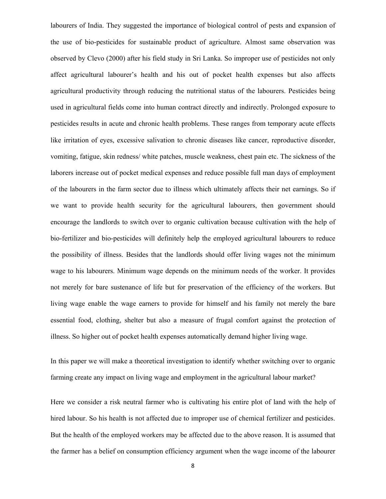labourers of India. They suggested the importance of biological control of pests and expansion of the use of bio-pesticides for sustainable product of agriculture. Almost same observation was observed by Clevo (2000) after his field study in Sri Lanka. So improper use of pesticides not only affect agricultural labourer's health and his out of pocket health expenses but also affects agricultural productivity through reducing the nutritional status of the labourers. Pesticides being used in agricultural fields come into human contract directly and indirectly. Prolonged exposure to pesticides results in acute and chronic health problems. These ranges from temporary acute effects like irritation of eyes, excessive salivation to chronic diseases like cancer, reproductive disorder, vomiting, fatigue, skin redness/ white patches, muscle weakness, chest pain etc. The sickness of the laborers increase out of pocket medical expenses and reduce possible full man days of employment of the labourers in the farm sector due to illness which ultimately affects their net earnings. So if we want to provide health security for the agricultural labourers, then government should encourage the landlords to switch over to organic cultivation because cultivation with the help of bio-fertilizer and bio-pesticides will definitely help the employed agricultural labourers to reduce the possibility of illness. Besides that the landlords should offer living wages not the minimum wage to his labourers. Minimum wage depends on the minimum needs of the worker. It provides not merely for bare sustenance of life but for preservation of the efficiency of the workers. But living wage enable the wage earners to provide for himself and his family not merely the bare essential food, clothing, shelter but also a measure of frugal comfort against the protection of illness. So higher out of pocket health expenses automatically demand higher living wage.

In this paper we will make a theoretical investigation to identify whether switching over to organic farming create any impact on living wage and employment in the agricultural labour market?

Here we consider a risk neutral farmer who is cultivating his entire plot of land with the help of hired labour. So his health is not affected due to improper use of chemical fertilizer and pesticides. But the health of the employed workers may be affected due to the above reason. It is assumed that the farmer has a belief on consumption efficiency argument when the wage income of the labourer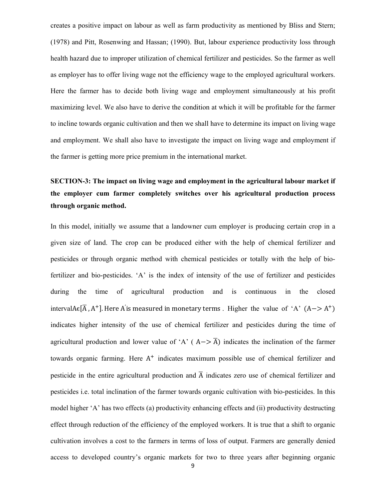creates a positive impact on labour as well as farm productivity as mentioned by Bliss and Stern; (1978) and Pitt, Rosenwing and Hassan; (1990). But, labour experience productivity loss through health hazard due to improper utilization of chemical fertilizer and pesticides. So the farmer as well as employer has to offer living wage not the efficiency wage to the employed agricultural workers. Here the farmer has to decide both living wage and employment simultaneously at his profit maximizing level. We also have to derive the condition at which it will be profitable for the farmer to incline towards organic cultivation and then we shall have to determine its impact on living wage and employment. We shall also have to investigate the impact on living wage and employment if the farmer is getting more price premium in the international market.

## **SECTION-3: The impact on living wage and employment in the agricultural labour market if the employer cum farmer completely switches over his agricultural production process through organic method.**

In this model, initially we assume that a landowner cum employer is producing certain crop in a given size of land. The crop can be produced either with the help of chemical fertilizer and pesticides or through organic method with chemical pesticides or totally with the help of biofertilizer and bio-pesticides. 'A' is the index of intensity of the use of fertilizer and pesticides during the time of agricultural production and is continuous in the closed intervalA $\epsilon$ [ $\overline{A}$ ,  $A^+$ ]. Here A' is measured in monetary terms . Higher the value of 'A' ( $A \rightarrow A^+$ ) indicates higher intensity of the use of chemical fertilizer and pesticides during the time of agricultural production and lower value of 'A' ( $A \rightarrow \overline{A}$ ) indicates the inclination of the farmer towards organic farming. Here  $A^+$  indicates maximum possible use of chemical fertilizer and pesticide in the entire agricultural production and  $\overline{A}$  indicates zero use of chemical fertilizer and pesticides i.e. total inclination of the farmer towards organic cultivation with bio-pesticides. In this model higher 'A' has two effects (a) productivity enhancing effects and (ii) productivity destructing effect through reduction of the efficiency of the employed workers. It is true that a shift to organic cultivation involves a cost to the farmers in terms of loss of output. Farmers are generally denied access to developed country's organic markets for two to three years after beginning organic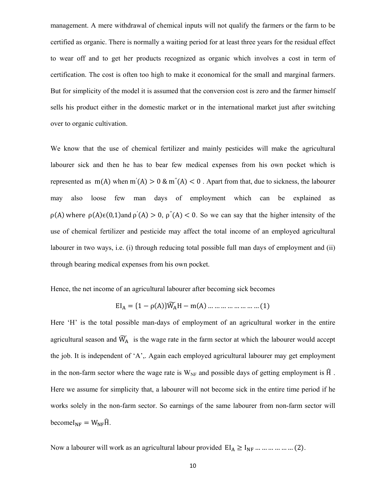management. A mere withdrawal of chemical inputs will not qualify the farmers or the farm to be certified as organic. There is normally a waiting period for at least three years for the residual effect to wear off and to get her products recognized as organic which involves a cost in term of certification. The cost is often too high to make it economical for the small and marginal farmers. But for simplicity of the model it is assumed that the conversion cost is zero and the farmer himself sells his product either in the domestic market or in the international market just after switching over to organic cultivation.

We know that the use of chemical fertilizer and mainly pesticides will make the agricultural labourer sick and then he has to bear few medical expenses from his own pocket which is represented as  $m(A)$  when  $m'(A) > 0$  &  $m''(A) < 0$ . Apart from that, due to sickness, the labourer may also loose few man days of employment which can be explained as  $\rho(A)$  where  $\rho(A) \in (0,1)$  and  $\rho'(A) > 0$ ,  $\rho''(A) < 0$ . So we can say that the higher intensity of the use of chemical fertilizer and pesticide may affect the total income of an employed agricultural labourer in two ways, i.e. (i) through reducing total possible full man days of employment and (ii) through bearing medical expenses from his own pocket.

Hence, the net income of an agricultural labourer after becoming sick becomes

$$
EI_A = \{1 - \rho(A)\}\widetilde{W_A}H - m(A) \dots \dots \dots \dots \dots \dots \dots \dots (1)
$$

Here 'H' is the total possible man-days of employment of an agricultural worker in the entire agricultural season and  $\widetilde{W}_A$  is the wage rate in the farm sector at which the labourer would accept the job. It is independent of 'A',. Again each employed agricultural labourer may get employment in the non-farm sector where the wage rate is  $W_{NF}$  and possible days of getting employment is  $\hat{H}$ . Here we assume for simplicity that, a labourer will not become sick in the entire time period if he works solely in the non-farm sector. So earnings of the same labourer from non-farm sector will become $I_{NF} = W_{NF} \hat{H}$ .

Now a labourer will work as an agricultural labour provided  $EI_A \geq I_{NF}$  … … … … … (2).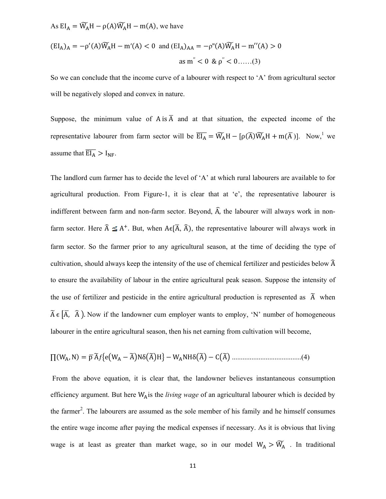As 
$$
EI_A = \widetilde{W}_A H - \rho(A)\widetilde{W}_A H - m(A)
$$
, we have

$$
(\text{EI}_A)_A = -\rho'(A)\widetilde{W}_A H - \text{m}'(A) < 0 \text{ and } (\text{EI}_A)_{AA} = -\rho''(A)\widetilde{W}_A H - \text{m}''(A) > 0
$$
\n
$$
\text{as } \text{m}'' < 0 \text{ \& } \rho'' < 0 \dots \dots \text{(3)}
$$

So we can conclude that the income curve of a labourer with respect to 'A' from agricultural sector will be negatively sloped and convex in nature.

Suppose, the minimum value of A is  $\overline{A}$  and at that situation, the expected income of the representative labourer from farm sector will be  $\overline{EI_A} = \widetilde{W_A}H - [\rho(\overline{A})\widetilde{W_A}H + m(\overline{A})]$ . Now,<sup>1</sup> we assume that  $\overline{EI_A} > I_{NF}$ .

The landlord cum farmer has to decide the level of 'A' at which rural labourers are available to for agricultural production. From Figure-1, it is clear that at 'e', the representative labourer is indifferent between farm and non-farm sector. Beyond,  $\hat{A}$ , the labourer will always work in nonfarm sector. Here  $\hat{A} \leq A^+$ . But, when  $A \in [\overline{A}, \overline{A})$ , the representative labourer will always work in farm sector. So the farmer prior to any agricultural season, at the time of deciding the type of cultivation, should always keep the intensity of the use of chemical fertilizer and pesticides below  $\hat{A}$ to ensure the availability of labour in the entire agricultural peak season. Suppose the intensity of the use of fertilizer and pesticide in the entire agricultural production is represented as  $\tilde{A}$  when  $\widetilde{A} \in [\overline{A}, \overline{A}]$ . Now if the landowner cum employer wants to employ, 'N' number of homogeneous labourer in the entire agricultural season, then his net earning from cultivation will become,

$$
\Pi(W_A, N) = \overline{p}\widetilde{A}f\{e(W_A - \widetilde{A})N\delta(\widetilde{A})H\} - W_ANH\delta(\widetilde{A}) - C(\widetilde{A})
$$
.................(4)

From the above equation, it is clear that, the landowner believes instantaneous consumption efficiency argument. But here WAis the living wage of an agricultural labourer which is decided by the farmer<sup>2</sup>. The labourers are assumed as the sole member of his family and he himself consumes the entire wage income after paying the medical expenses if necessary. As it is obvious that living wage is at least as greater than market wage, so in our model  $W_A > \widetilde{W}_A$ . In traditional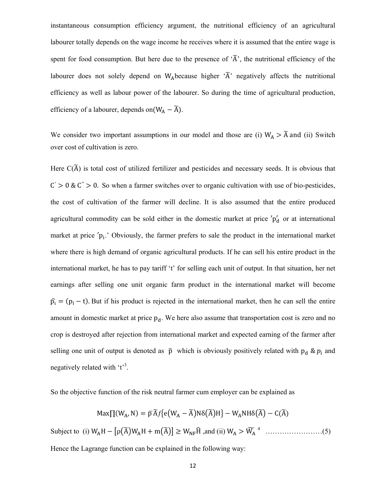instantaneous consumption efficiency argument, the nutritional efficiency of an agricultural labourer totally depends on the wage income he receives where it is assumed that the entire wage is spent for food consumption. But here due to the presence of  $\tilde{A}$ , the nutritional efficiency of the labourer does not solely depend on W<sub>A</sub>because higher  $\tilde{A}$  negatively affects the nutritional efficiency as well as labour power of the labourer. So during the time of agricultural production, efficiency of a labourer, depends on  $(W_A - \widetilde{A})$ .

We consider two important assumptions in our model and those are (i)  $W_A > \tilde{A}$  and (ii) Switch over cost of cultivation is zero.

Here  $C(\widetilde{A})$  is total cost of utilized fertilizer and pesticides and necessary seeds. It is obvious that  $C' > 0$  &  $C'' > 0$ . So when a farmer switches over to organic cultivation with use of bio-pesticides, the cost of cultivation of the farmer will decline. It is also assumed that the entire produced agricultural commodity can be sold either in the domestic market at price 'p'<sub>d</sub> or at international market at price  $p_i$ . Obviously, the farmer prefers to sale the product in the international market where there is high demand of organic agricultural products. If he can sell his entire product in the international market, he has to pay tariff 't' for selling each unit of output. In that situation, her net earnings after selling one unit organic farm product in the international market will become  $\hat{p}_i = (p_i - t)$ . But if his product is rejected in the international market, then he can sell the entire amount in domestic market at price  $p_d$ . We here also assume that transportation cost is zero and no crop is destroyed after rejection from international market and expected earning of the farmer after selling one unit of output is denoted as  $\bar{p}$  which is obviously positively related with  $p_d \& p_i$  and negatively related with 't<sup>3</sup>.

So the objective function of the risk neutral farmer cum employer can be explained as

$$
\text{Max}[\text{T}(W_A, \text{N}) = \overline{p}\,\widetilde{A}f\{e(W_A - \widetilde{A})N\delta(\widetilde{A})H\} - W_A N H \delta(\widetilde{A}) - C(\widetilde{A})
$$
\n
$$
\text{Subject to (i) } W_A H - \left[\rho(\widetilde{A})W_A H + m(\widetilde{A})\right] \ge W_{NF}\widehat{H} \text{, and (ii) } W_A > \widetilde{W}_A \text{ }^4 \text{ } \dots \text{ }^{\text{(3)}}
$$

Hence the Lagrange function can be explained in the following way: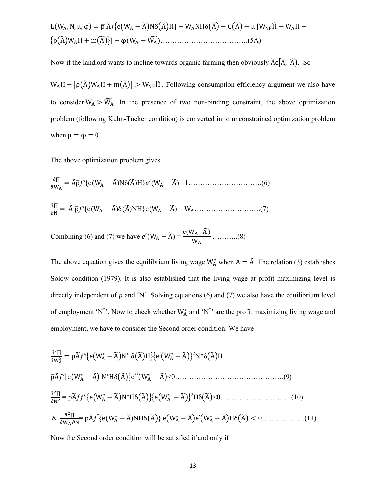Now if the landlord wants to incline towards organic farming then obviously  $\widetilde{A} \in (\overline{A}, \widehat{A})$ . So

 $W_AH - [\rho(\tilde{A})W_AH + m(\tilde{A})] > W_{NF}\hat{H}$ . Following consumption efficiency argument we also have to consider  $W_A > \widetilde{W}_A$ . In the presence of two non-binding constraint, the above optimization problem (following Kuhn-Tucker condition) is converted in to unconstrained optimization problem when  $\mu = \varphi = 0$ .

The above optimization problem gives

The above equation gives the equilibrium living wage  $W_A^*$  when  $A = \tilde{A}$ . The relation (3) establishes Solow condition (1979). It is also established that the living wage at profit maximizing level is directly independent of  $\bar{p}$  and 'N'. Solving equations (6) and (7) we also have the equilibrium level of employment 'N\*'. Now to check whether  $W_A^*$  and 'N\*' are the profit maximizing living wage and employment, we have to consider the Second order condition. We have

$$
\frac{\partial^2 \Pi}{\partial w_A^2} = \bar{p}\tilde{A}f'' \{ e(W_A^* - \tilde{A})N^* \delta(\tilde{A})H \} \{ e'(W_A^* - \tilde{A})\}^2 N^* \delta(\tilde{A})H +
$$
  
\n
$$
\bar{p}\tilde{A}f' \{ e(W_A^* - \tilde{A})N^*H\delta(\tilde{A})\} e''(W_A^* - \tilde{A}) < 0 \dots (9)
$$
  
\n
$$
\frac{\partial^2 \Pi}{\partial N^2} = \bar{p}\tilde{A}f f'' \{ e(W_A^* - \tilde{A})N^*H\delta(\tilde{A})\} \{ e(W_A^* - \tilde{A})\}^2 H\delta(\tilde{A}) < 0 \dots (10)
$$
  
\n
$$
\& \frac{\partial^2 \Pi}{\partial W_A \partial N} = \bar{p}\tilde{A}f^{''} \{ e(W_A^* - \tilde{A})NH\delta(\tilde{A})\} e(W_A^* - \tilde{A})e'(W_A^* - \tilde{A})H\delta(\tilde{A}) < 0 \dots (11)
$$

Now the Second order condition will be satisfied if and only if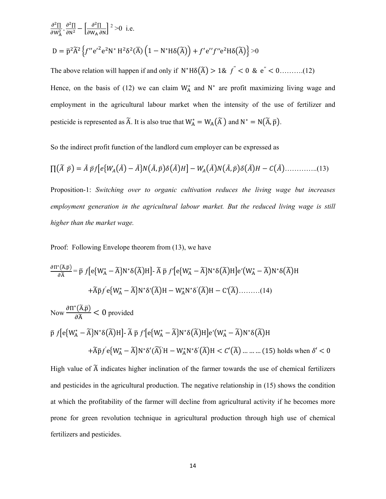$$
\frac{\partial^2 \Pi}{\partial w_A^2} \cdot \frac{\partial^2 \Pi}{\partial N^2} - \left[ \frac{\partial^2 \Pi}{\partial w_A \partial N} \right]^2 > 0 \quad \text{i.e.}
$$
\n
$$
D = \bar{p}^2 \tilde{A}^2 \left\{ f'' e'^2 e^2 N^* H^2 \delta^2(\bar{A}) \left( 1 - N^* H \delta(\bar{A}) \right) + f' e'' f'' e^2 H \delta(\bar{A}) \right\} > 0
$$

The above relation will happen if and only if N <sup>כ</sup>Hδ൫A෩൯ 1& ƒ ′′ ൏ 0 & e′′ ൏ 0……….(12) Hence, on the basis of (12) we can claim  $W_A^*$  and  $N^*$  are profit maximizing living wage and employment in the agricultural labour market when the intensity of the use of fertilizer and pesticide is represented as  $\tilde{A}$ . It is also true that  $W^* = W_A(\tilde{A})$  and  $N^* = N(\tilde{A}, \bar{p})$ .

So the indirect profit function of the landlord cum employer can be expressed as

$$
\Pi(\tilde{A}\ \tilde{p}) = \tilde{A}\ \tilde{p}f[e\{W_A(\tilde{A}) - \tilde{A}\}N(\tilde{A}, \tilde{p})\delta(\tilde{A})H] - W_A(\tilde{A})N(\tilde{A}, \tilde{p})\delta(\tilde{A})H - C(\tilde{A})\dots \dots \dots \dots (13)
$$

Proposition-1: *Switching over to organic cultivation reduces the living wage but increases employment generation in the agricultural labour market. But the reduced living wage is still higher than the market wage.*

Proof: Following Envelope theorem from (13), we have

$$
\frac{\partial \Pi^*(\tilde{A}, \bar{p})}{\partial \tilde{A}} = \bar{p} f[e\{W_A^* - \tilde{A}\} N^* \delta(\tilde{A})H] - \tilde{A} \bar{p} f'[e\{W_A^* - \tilde{A}\} N^* \delta(\tilde{A})H]e'\{W_A^* - \tilde{A}\} N^* \delta(\tilde{A})H
$$
\n
$$
+ \tilde{A} \bar{p} f'e\{W_A^* - \tilde{A}\} N^* \delta'(\tilde{A})H - W_A^* N^* \delta'(\tilde{A})H - C'(\tilde{A})...........(14)
$$
\n
$$
\text{Now } \frac{\partial \Pi^*(\tilde{A}, \bar{p})}{\partial \tilde{A}} < 0 \text{ provided}
$$
\n
$$
\bar{p} f[e\{W_A^* - \tilde{A}\} N^* \delta(\tilde{A})H] - \tilde{A} \bar{p} f'[e\{W_A^* - \tilde{A}\} N^* \delta(\tilde{A})H]e'\{W_A^* - \tilde{A}\} N^* \delta(\tilde{A})H
$$
\n
$$
+ \tilde{A} \bar{p} f'e\{W_A^* - \tilde{A}\} N^* \delta'(\tilde{A})H - W_A^* N^* \delta'(\tilde{A})H < C'(\tilde{A}) .........(15) holds when \delta' < 0
$$

High value of  $\tilde{A}$  indicates higher inclination of the farmer towards the use of chemical fertilizers and pesticides in the agricultural production. The negative relationship in (15) shows the condition at which the profitability of the farmer will decline from agricultural activity if he becomes more prone for green revolution technique in agricultural production through high use of chemical fertilizers and pesticides.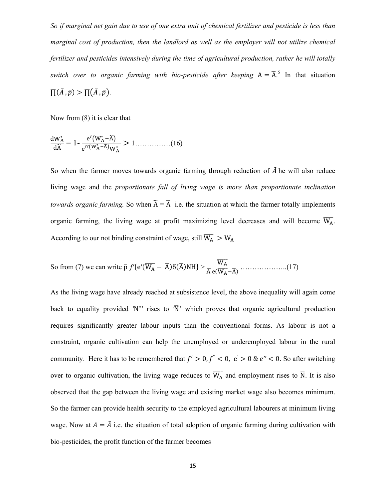*So if marginal net gain due to use of one extra unit of chemical fertilizer and pesticide is less than marginal cost of production, then the landlord as well as the employer will not utilize chemical fertilizer and pesticides intensively during the time of agricultural production, rather he will totally switch over to organic farming with bio-pesticide after keeping*  $A = \overline{A}^5$ . In that situation  $\Pi(\bar{A}, \bar{p}) > \Pi(\tilde{A}, \bar{p}).$ 

Now from (8) it is clear that

$$
\frac{\mathrm{d}W_{\mathbf{A}}^*}{\mathrm{d}\widetilde{\mathbf{A}}} = 1 - \frac{\mathrm{e}'(W_{\mathbf{A}}^* - \widetilde{\mathbf{A}})}{\mathrm{e}''(W_{\mathbf{A}}^* - \widetilde{\mathbf{A}})W_{\mathbf{A}}^*} > 1 \dots \dots \dots \dots (16)
$$

So when the farmer moves towards organic farming through reduction of  $\tilde{A}$  he will also reduce living wage and the *proportionate fall of living wage is more than proportionate inclination towards organic farming.* So when  $\widetilde{A} = \overline{A}$  i.e. the situation at which the farmer totally implements organic farming, the living wage at profit maximizing level decreases and will become  $\overline{W_A}$ . According to our not binding constraint of wage, still  $\overline{W_A} > W_A$ 

So from (7) we can write 
$$
\bar{p} f' \{e'(\overline{W_A} - \overline{A}) \delta(\overline{A})NH\} > \frac{\overline{W_A}}{\overline{A} e(\overline{W_A} - \overline{A})} \dots \dots \dots \dots \dots \dots (17)
$$

As the living wage have already reached at subsistence level, the above inequality will again come back to equality provided 'N<sup>\*'</sup> rises to 'N<sup>'</sup> which proves that organic agricultural production requires significantly greater labour inputs than the conventional forms. As labour is not a constraint, organic cultivation can help the unemployed or underemployed labour in the rural community. Here it has to be remembered that  $f' > 0, f'' < 0$ ,  $e' > 0$  &  $e'' < 0$ . So after switching over to organic cultivation, the living wage reduces to  $W_A$  and employment rises to N. It is also observed that the gap between the living wage and existing market wage also becomes minimum. So the farmer can provide health security to the employed agricultural labourers at minimum living wage. Now at  $A = \overline{A}$  i.e. the situation of total adoption of organic farming during cultivation with bio-pesticides, the profit function of the farmer becomes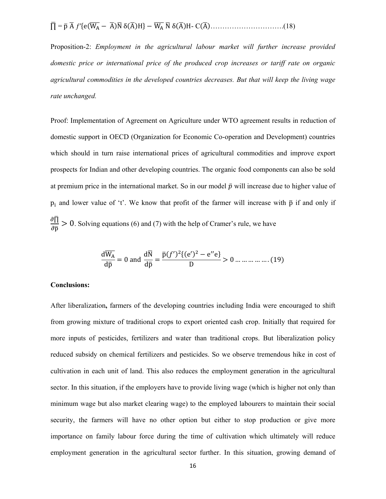∏ഥ = pത Aഥ ƒ′ሼeሺW<sup>A</sup> തതതത െ AഥሻNഥ δሺAഥሻHሽ െ W<sup>A</sup> തതതത Nഥ δሺAഥሻH- CሺAഥሻ………………………….(18)

Proposition-2: *Employment in the agricultural labour market will further increase provided domestic price or international price of the produced crop increases or tariff rate on organic agricultural commodities in the developed countries decreases. But that will keep the living wage rate unchanged.* 

Proof: Implementation of Agreement on Agriculture under WTO agreement results in reduction of domestic support in OECD (Organization for Economic Co-operation and Development) countries which should in turn raise international prices of agricultural commodities and improve export prospects for Indian and other developing countries. The organic food components can also be sold at premium price in the international market. So in our model  $\bar{p}$  will increase due to higher value of  $p_i$  and lower value of 't'. We know that profit of the farmer will increase with  $\bar{p}$  if and only if  $\partial \bar{\Pi}$  $\frac{\partial \Pi}{\partial \bar{p}}$  > 0. Solving equations (6) and (7) with the help of Cramer's rule, we have

$$
\frac{d\overline{W_A}}{d\overline{p}} = 0 \text{ and } \frac{d\overline{N}}{d\overline{p}} = \frac{\overline{p}(f')^2 \{ (e')^2 - e''e \}}{D} > 0 \dots \dots \dots \dots \dots (19)
$$

#### **Conclusions:**

After liberalization**,** farmers of the developing countries including India were encouraged to shift from growing mixture of traditional crops to export oriented cash crop. Initially that required for more inputs of pesticides, fertilizers and water than traditional crops. But liberalization policy reduced subsidy on chemical fertilizers and pesticides. So we observe tremendous hike in cost of cultivation in each unit of land. This also reduces the employment generation in the agricultural sector. In this situation, if the employers have to provide living wage (which is higher not only than minimum wage but also market clearing wage) to the employed labourers to maintain their social security, the farmers will have no other option but either to stop production or give more importance on family labour force during the time of cultivation which ultimately will reduce employment generation in the agricultural sector further. In this situation, growing demand of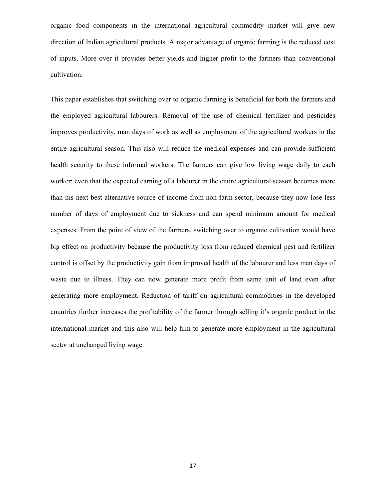organic food components in the international agricultural commodity market will give new direction of Indian agricultural products. A major advantage of organic farming is the reduced cost of inputs. More over it provides better yields and higher profit to the farmers than conventional cultivation.

This paper establishes that switching over to organic farming is beneficial for both the farmers and the employed agricultural labourers. Removal of the use of chemical fertilizer and pesticides improves productivity, man days of work as well as employment of the agricultural workers in the entire agricultural season. This also will reduce the medical expenses and can provide sufficient health security to these informal workers. The farmers can give low living wage daily to each worker; even that the expected earning of a labourer in the entire agricultural season becomes more than his next best alternative source of income from non-farm sector, because they now lose less number of days of employment due to sickness and can spend minimum amount for medical expenses. From the point of view of the farmers, switching over to organic cultivation would have big effect on productivity because the productivity loss from reduced chemical pest and fertilizer control is offset by the productivity gain from improved health of the labourer and less man days of waste due to illness. They can now generate more profit from same unit of land even after generating more employment. Reduction of tariff on agricultural commodities in the developed countries further increases the profitability of the farmer through selling it's organic product in the international market and this also will help him to generate more employment in the agricultural sector at unchanged living wage.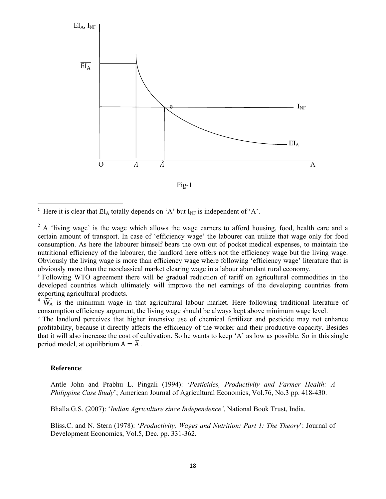

 $Fig-1$ 

<sup>1</sup> Here it is clear that  $EI_A$  totally depends on 'A' but  $I_{NF}$  is independent of 'A'.

<sup>2</sup> A 'living wage' is the wage which allows the wage earners to afford housing, food, health care and a certain amount of transport. In case of 'efficiency wage' the labourer can utilize that wage only for food consumption. As here the labourer himself bears the own out of pocket medical expenses, to maintain the nutritional efficiency of the labourer, the landlord here offers not the efficiency wage but the living wage. Obviously the living wage is more than efficiency wage where following 'efficiency wage' literature that is obviously more than the neoclassical market clearing wage in a labour abundant rural economy.

<sup>3</sup> Following WTO agreement there will be gradual reduction of tariff on agricultural commodities in the developed countries which ultimately will improve the net earnings of the developing countries from exporting agricultural products.

 $4\ \widetilde{W}_A$  is the minimum wage in that agricultural labour market. Here following traditional literature of consumption efficiency argument, the living wage should be always kept above minimum wage level.

<sup>5</sup> The landlord perceives that higher intensive use of chemical fertilizer and pesticide may not enhance profitability, because it directly affects the efficiency of the worker and their productive capacity. Besides that it will also increase the cost of cultivation. So he wants to keep 'A' as low as possible. So in this single period model, at equilibrium  $A = \overline{A}$ .

#### Reference:

Antle John and Prabhu L. Pingali (1994): 'Pesticides, Productivity and Farmer Health: A *Philippine Case Study'*; American Journal of Agricultural Economics, Vol.76, No.3 pp. 418-430.

Bhalla.G.S. (2007): 'Indian Agriculture since Independence', National Book Trust, India.

Bliss.C. and N. Stern (1978): 'Productivity, Wages and Nutrition: Part 1: The Theory': Journal of Development Economics, Vol.5, Dec. pp. 331-362.